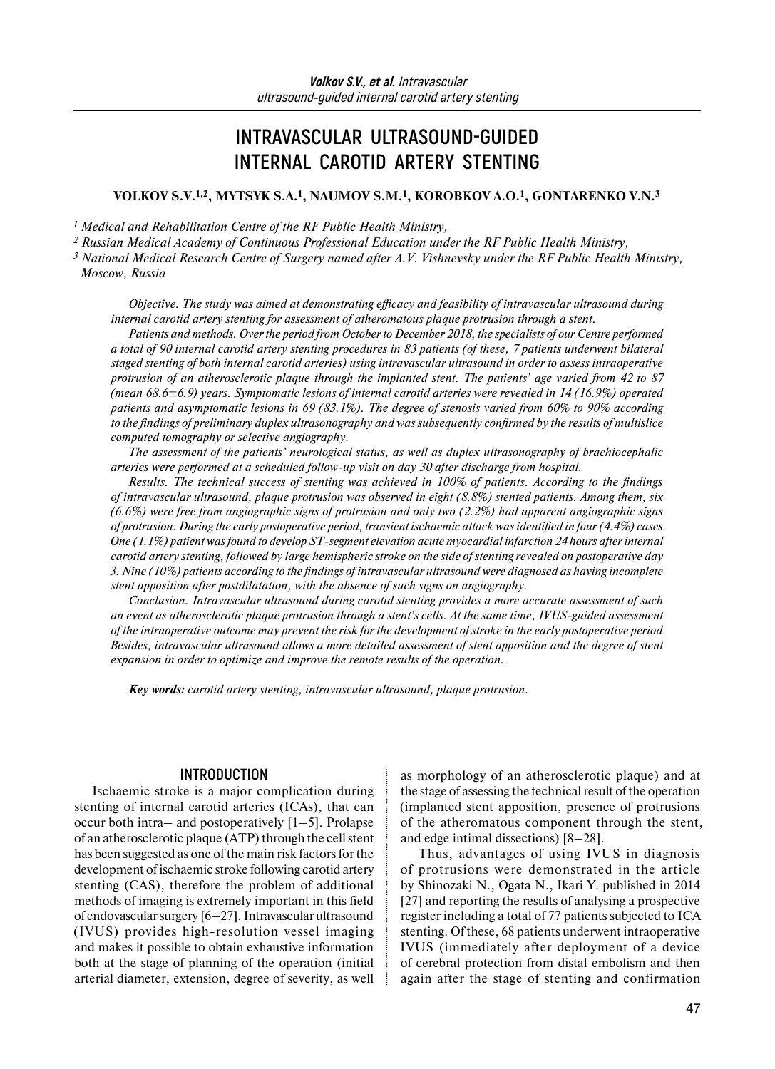# **INTRAVASCULAR ULTRASOUND-GUIDED INTERNAL CAROTID ARTERY STENTING**

## **VOLKOV S.V.1,2, MYTSYK S.A.1, NAUMOV S.M.1, KOROBKOV A.O.1, GONTARENKO V.N.3**

*1 Medical and Rehabilitation Centre of the RF Public Health Ministry,*

*2 Russian Medical Academy of Continuous Professional Education under the RF Public Health Ministry,*

*<sup>3</sup> National Medical Research Centre of Surgery named after A.V. Vishnevsky under the RF Public Health Ministry, Moscow, Russia* 

*Objective. The study was aimed at demonstrating efficacy and feasibility of intravascular ultrasound during internal carotid artery stenting for assessment of atheromatous plaque protrusion through a stent.*

*Patients and methods. Over the period from October to December 2018, the specialists of our Centre performed a total of 90 internal carotid artery stenting procedures in 83 patients (of these, 7 patients underwent bilateral staged stenting of both internal carotid arteries) using intravascular ultrasound in order to assess intraoperative protrusion of an atherosclerotic plaque through the implanted stent. The patients' age varied from 42 to 87 (mean 68.6±6.9) years. Symptomatic lesions of internal carotid arteries were revealed in 14 (16.9%) operated patients and asymptomatic lesions in 69 (83.1%). The degree of stenosis varied from 60% to 90% according to the findings of preliminary duplex ultrasonography and was subsequently confirmed by the results of multislice computed tomography or selective angiography.* 

*The assessment of the patients' neurological status, as well as duplex ultrasonography of brachiocephalic arteries were performed at a scheduled follow-up visit on day 30 after discharge from hospital.*

*Results. The technical success of stenting was achieved in 100% of patients. According to the findings of intravascular ultrasound, plaque protrusion was observed in eight (8.8%) stented patients. Among them, six (6.6%) were free from angiographic signs of protrusion and only two (2.2%) had apparent angiographic signs of protrusion. During the early postoperative period, transient ischaemic attack was identified in four (4.4%) cases. One (1.1%) patient was found to develop ST-segment elevation acute myocardial infarction 24 hours after internal carotid artery stenting, followed by large hemispheric stroke on the side of stenting revealed on postoperative day 3. Nine (10%) patients according to the findings of intravascular ultrasound were diagnosed as having incomplete stent apposition after postdilatation, with the absence of such signs on angiography.*

*Conclusion. Intravascular ultrasound during carotid stenting provides a more accurate assessment of such an event as atherosclerotic plaque protrusion through a stent's cells. At the same time, IVUS-guided assessment of the intraoperative outcome may prevent the risk for the development of stroke in the early postoperative period. Besides, intravascular ultrasound allows a more detailed assessment of stent apposition and the degree of stent expansion in order to optimize and improve the remote results of the operation.* 

*Key words: carotid artery stenting, intravascular ultrasound, plaque protrusion.* 

## **INTRODUCTION**

Ischaemic stroke is a major complication during stenting of internal carotid arteries (ICAs), that can occur both intra– and postoperatively [1–5]. Prolapse of an atherosclerotic plaque (ATP) through the cell stent has been suggested as one of the main risk factors for the development of ischaemic stroke following carotid artery stenting (CAS), therefore the problem of additional methods of imaging is extremely important in this field of endovascular surgery [6–27]. Intravascular ultrasound (IVUS) provides high-resolution vessel imaging and makes it possible to obtain exhaustive information both at the stage of planning of the operation (initial arterial diameter, extension, degree of severity, as well

as morphology of an atherosclerotic plaque) and at the stage of assessing the technical result of the operation (implanted stent apposition, presence of protrusions of the atheromatous component through the stent, and edge intimal dissections) [8–28].

Thus, advantages of using IVUS in diagnosis of protrusions were demonstrated in the article by Shinozaki N., Ogata N., Ikari Y. published in 2014 [27] and reporting the results of analysing a prospective register including a total of 77 patients subjected to ICA stenting. Of these, 68 patients underwent intraoperative IVUS (immediately after deployment of a device of cerebral protection from distal embolism and then again after the stage of stenting and confirmation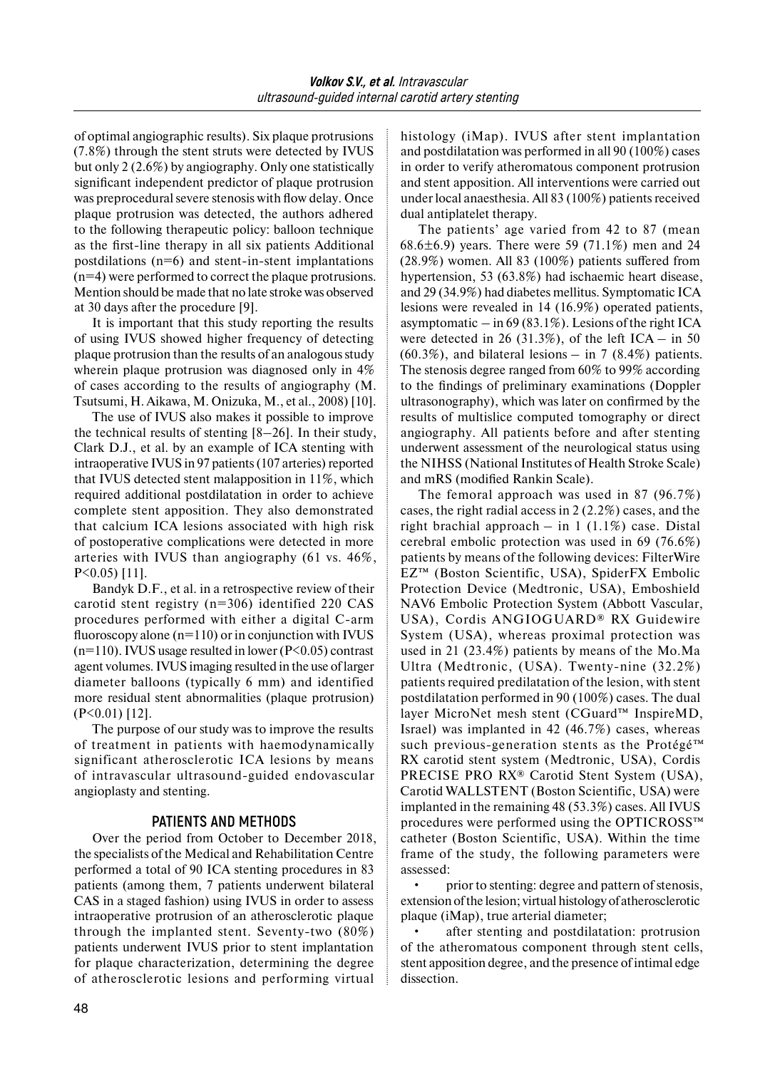of optimal angiographic results). Six plaque protrusions (7.8%) through the stent struts were detected by IVUS but only 2 (2.6%) by angiography. Only one statistically significant independent predictor of plaque protrusion was preprocedural severe stenosis with flow delay. Once plaque protrusion was detected, the authors adhered to the following therapeutic policy: balloon technique as the first-line therapy in all six patients Additional postdilations  $(n=6)$  and stent-in-stent implantations (n=4) were performed to correct the plaque protrusions. Mention should be made that no late stroke was observed at 30 days after the procedure [9].

It is important that this study reporting the results of using IVUS showed higher frequency of detecting plaque protrusion than the results of an analogous study wherein plaque protrusion was diagnosed only in  $4\%$ of cases according to the results of angiography (M. Tsutsumi, H. Aikawa, M. Onizuka, M., et al., 2008) [10].

The use of IVUS also makes it possible to improve the technical results of stenting [8–26]. In their study, Clark D.J., et al. by an example of ICA stenting with intraoperative IVUS in 97 patients (107 arteries) reported that IVUS detected stent malapposition in 11%, which required additional postdilatation in order to achieve complete stent apposition. They also demonstrated that calcium ICA lesions associated with high risk of postoperative complications were detected in more arteries with IVUS than angiography (61 vs. 46%, P<0.05) [11].

Bandyk D.F., et al. in a retrospective review of their carotid stent registry (n=306) identified 220 CAS procedures performed with either a digital C-arm fluoroscopy alone  $(n=110)$  or in conjunction with IVUS  $(n=110)$ . IVUS usage resulted in lower (P<0.05) contrast agent volumes. IVUS imaging resulted in the use of larger diameter balloons (typically 6 mm) and identified more residual stent abnormalities (plaque protrusion) (P<0.01) [12].

The purpose of our study was to improve the results of treatment in patients with haemodynamically significant atherosclerotic ICA lesions by means of intravascular ultrasound-guided endovascular angioplasty and stenting.

# **PATIENTS AND METHODS**

Over the period from October to December 2018, the specialists of the Medical and Rehabilitation Centre performed a total of 90 ICA stenting procedures in 83 patients (among them, 7 patients underwent bilateral CAS in a staged fashion) using IVUS in order to assess intraoperative protrusion of an atherosclerotic plaque through the implanted stent. Seventy-two (80%) patients underwent IVUS prior to stent implantation for plaque characterization, determining the degree of atherosclerotic lesions and performing virtual

histology (iMap). IVUS after stent implantation and postdilatation was performed in all 90 (100%) cases in order to verify atheromatous component protrusion and stent apposition. All interventions were carried out under local anaesthesia. All 83 (100%) patients received dual antiplatelet therapy.

The patients' age varied from 42 to 87 (mean 68.6 $\pm$ 6.9) years. There were 59 (71.1%) men and 24 (28.9%) women. All 83 (100%) patients suffered from hypertension, 53 (63.8%) had ischaemic heart disease, and 29 (34.9%) had diabetes mellitus. Symptomatic ICA lesions were revealed in 14 (16.9%) operated patients, asymptomatic  $-$  in 69 (83.1%). Lesions of the right ICA were detected in 26 (31.3%), of the left  $ICA - in 50$  $(60.3\%)$ , and bilateral lesions – in 7  $(8.4\%)$  patients. The stenosis degree ranged from 60% to 99% according to the findings of preliminary examinations (Doppler ultrasonography), which was later on confirmed by the results of multislice computed tomography or direct angiography. All patients before and after stenting underwent assessment of the neurological status using the NIHSS (National Institutes of Health Stroke Scale) and mRS (modified Rankin Scale).

The femoral approach was used in 87 (96.7%) cases, the right radial access in 2 (2.2%) cases, and the right brachial approach – in  $1(1.1\%)$  case. Distal cerebral embolic protection was used in 69 (76.6%) patients by means of the following devices: FilterWire EZ™ (Boston Scientific, USA), SpiderFX Embolic Protection Device (Medtronic, USA), Emboshield NAV6 Embolic Protection System (Abbott Vascular, USA), Cordis ANGIOGUARD® RX Guidewire System (USA), whereas proximal protection was used in 21 (23.4%) patients by means of the Mo.Ma Ultra (Medtronic, (USA). Twenty-nine (32.2%) patients required predilatation of the lesion, with stent postdilatation performed in 90 (100%) cases. The dual layer MicroNet mesh stent (CGuard™ InspireMD, Israel) was implanted in 42 (46.7%) cases, whereas such previous-generation stents as the Protégé™ RX carotid stent system (Medtronic, USA), Cordis PRECISE PRO RX® Carotid Stent System (USA), Carotid WALLSTENT (Boston Scientific, USA) were implanted in the remaining 48 (53.3%) cases. All IVUS procedures were performed using the OPTICROSS™ catheter (Boston Scientific, USA). Within the time frame of the study, the following parameters were assessed:

• prior to stenting: degree and pattern of stenosis, extension ofthe lesion; virtual histology of atherosclerotic plaque (iMap), true arterial diameter;

after stenting and postdilatation: protrusion of the atheromatous component through stent cells, stent apposition degree, and the presence of intimal edge dissection.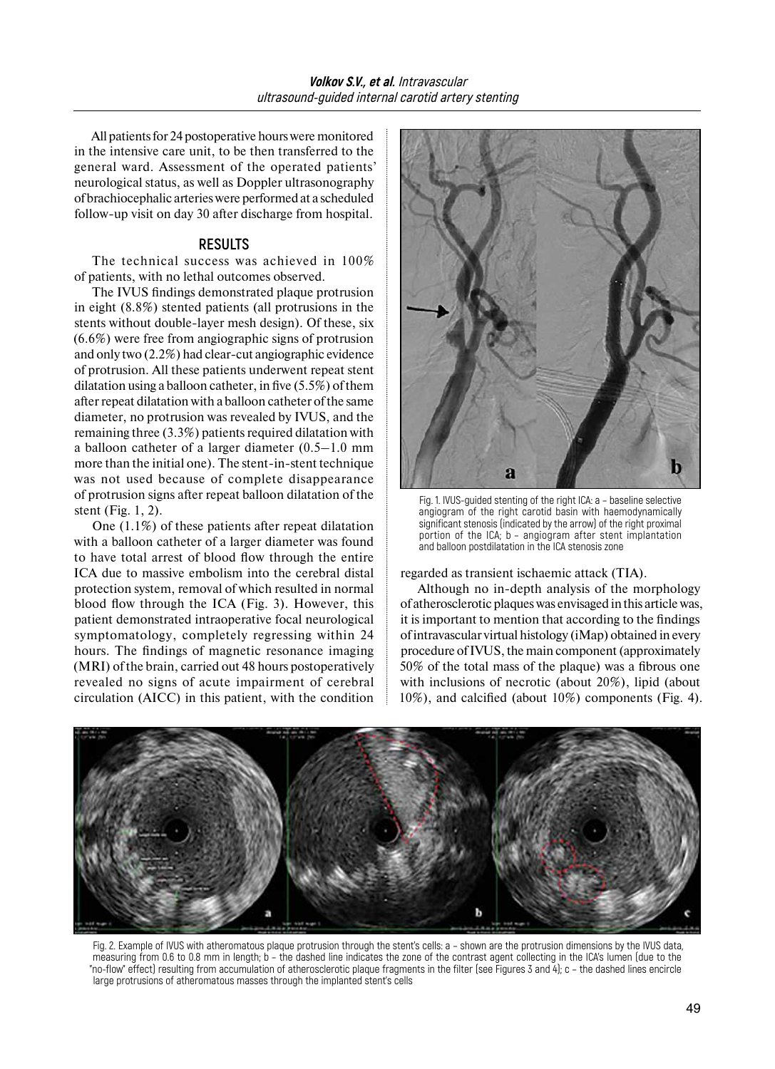All patients for 24 postoperative hours were monitored in the intensive care unit, to be then transferred to the general ward. Assessment of the operated patients' neurological status, as well as Doppler ultrasonography of brachiocephalic arteries were performed at a scheduled follow-up visit on day 30 after discharge from hospital.

#### **RESULTS**

The technical success was achieved in 100% of patients, with no lethal outcomes observed.

The IVUS findings demonstrated plaque protrusion in eight (8.8%) stented patients (all protrusions in the stents without double-layer mesh design). Of these, six (6.6%) were free from angiographic signs of protrusion and only two (2.2%) had clear-cut angiographic evidence of protrusion. All these patients underwent repeat stent dilatation using a balloon catheter, in five (5.5%) of them after repeat dilatation with a balloon catheter of the same diameter, no protrusion was revealed by IVUS, and the remaining three (3.3%) patients required dilatation with a balloon catheter of a larger diameter (0.5–1.0 mm more than the initial one). The stent-in-stent technique was not used because of complete disappearance of protrusion signs after repeat balloon dilatation of the stent (Fig. 1, 2).

One (1.1%) of these patients after repeat dilatation with a balloon catheter of a larger diameter was found to have total arrest of blood flow through the entire ICA due to massive embolism into the cerebral distal protection system, removal of which resulted in normal blood flow through the ICA (Fig. 3). However, this patient demonstrated intraoperative focal neurological symptomatology, completely regressing within 24 hours. The findings of magnetic resonance imaging (MRI) of the brain, carried out 48 hours postoperatively revealed no signs of acute impairment of cerebral circulation (AICC) in this patient, with the condition



Fig. 1. IVUS-guided stenting of the right ICA: a – baseline selective angiogram of the right carotid basin with haemodynamically significant stenosis (indicated by the arrow) of the right proximal portion of the ICA; b – angiogram after stent implantation and balloon postdilatation in the ICA stenosis zone

regarded as transient ischaemic attack (TIA).

Although no in-depth analysis of the morphology of atherosclerotic plaques was envisaged in this article was, it is important to mention that according to the findings of intravascular virtual histology (iMap) obtained in every procedure ofIVUS, the main component (approximately 50% of the total mass of the plaque) was a fibrous one with inclusions of necrotic (about 20%), lipid (about 10%), and calcified (about 10%) components (Fig. 4).



Fig. 2. Example of IVUS with atheromatous plaque protrusion through the stent's cells: a – shown are the protrusion dimensions by the IVUS data, measuring from 0.6 to 0.8 mm in length; b – the dashed line indicates the zone of the contrast agent collecting in the ICA's lumen (due to the "no-flow" effect) resulting from accumulation of atherosclerotic plaque fragments in the filter (see Figures 3 and 4); c – the dashed lines encircle large protrusions of atheromatous masses through the implanted stent's cells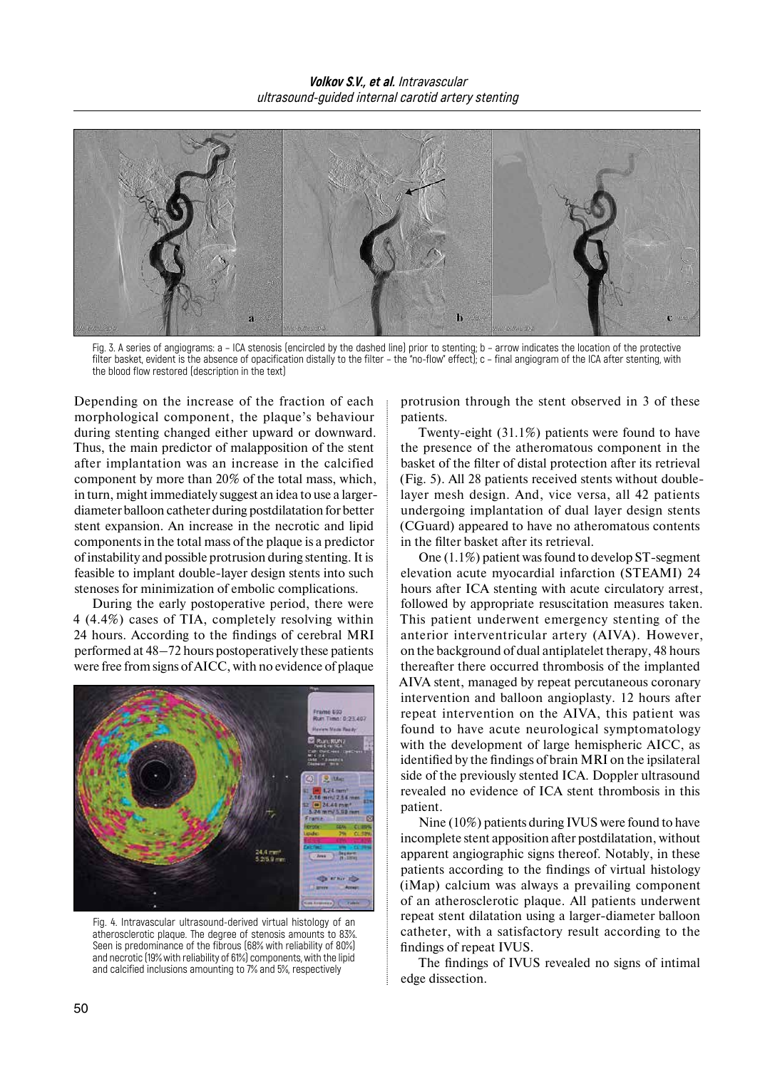

Fig. 3. A series of angiograms: a – ICA stenosis (encircled by the dashed line) prior to stenting; b – arrow indicates the location of the protective filter basket, evident is the absence of opacification distally to the filter – the "no-flow" effect); c – final angiogram of the ICA after stenting, with the blood flow restored (description in the text)

Depending on the increase of the fraction of each morphological component, the plaque's behaviour during stenting changed either upward or downward. Thus, the main predictor of malapposition of the stent after implantation was an increase in the calcified component by more than 20% of the total mass, which, in turn, might immediately suggest an idea to use a largerdiameter balloon catheter during postdilatation for better stent expansion. An increase in the necrotic and lipid components in the total mass of the plaque is a predictor of instability and possible protrusion during stenting. It is feasible to implant double-layer design stents into such stenoses for minimization of embolic complications.

During the early postoperative period, there were 4 (4.4%) cases of TIA, completely resolving within 24 hours. According to the findings of cerebral MRI performed at 48–72 hours postoperatively these patients were free from signs ofAICC, with no evidence of plaque



Fig. 4. Intravascular ultrasound-derived virtual histology of an atherosclerotic plaque. The degree of stenosis amounts to 83%. Seen is predominance of the fibrous (68% with reliability of 80%) and necrotic (19% with reliability of 61%) components, with the lipid and calcified inclusions amounting to 7% and 5%, respectively

protrusion through the stent observed in 3 of these patients.

Twenty-eight (31.1%) patients were found to have the presence of the atheromatous component in the basket of the filter of distal protection after its retrieval (Fig. 5). All 28 patients received stents without doublelayer mesh design. And, vice versa, all 42 patients undergoing implantation of dual layer design stents (CGuard) appeared to have no atheromatous contents in the filter basket after its retrieval.

One (1.1%) patient was found to develop ST-segment elevation acute myocardial infarction (STEAMI) 24 hours after ICA stenting with acute circulatory arrest, followed by appropriate resuscitation measures taken. This patient underwent emergency stenting of the anterior interventricular artery (AIVA). However, on the background of dual antiplatelet therapy, 48 hours thereafter there occurred thrombosis of the implanted AIVA stent, managed by repeat percutaneous coronary intervention and balloon angioplasty. 12 hours after repeat intervention on the AIVA, this patient was found to have acute neurological symptomatology with the development of large hemispheric AICC, as identified by the findings of brain MRI on the ipsilateral side of the previously stented ICA. Doppler ultrasound revealed no evidence of ICA stent thrombosis in this patient.

Nine (10%) patients during IVUS were found to have incomplete stent apposition after postdilatation, without apparent angiographic signs thereof. Notably, in these patients according to the findings of virtual histology (iMap) calcium was always a prevailing component of an atherosclerotic plaque. All patients underwent repeat stent dilatation using a larger-diameter balloon catheter, with a satisfactory result according to the findings of repeat IVUS.

The findings of IVUS revealed no signs of intimal edge dissection.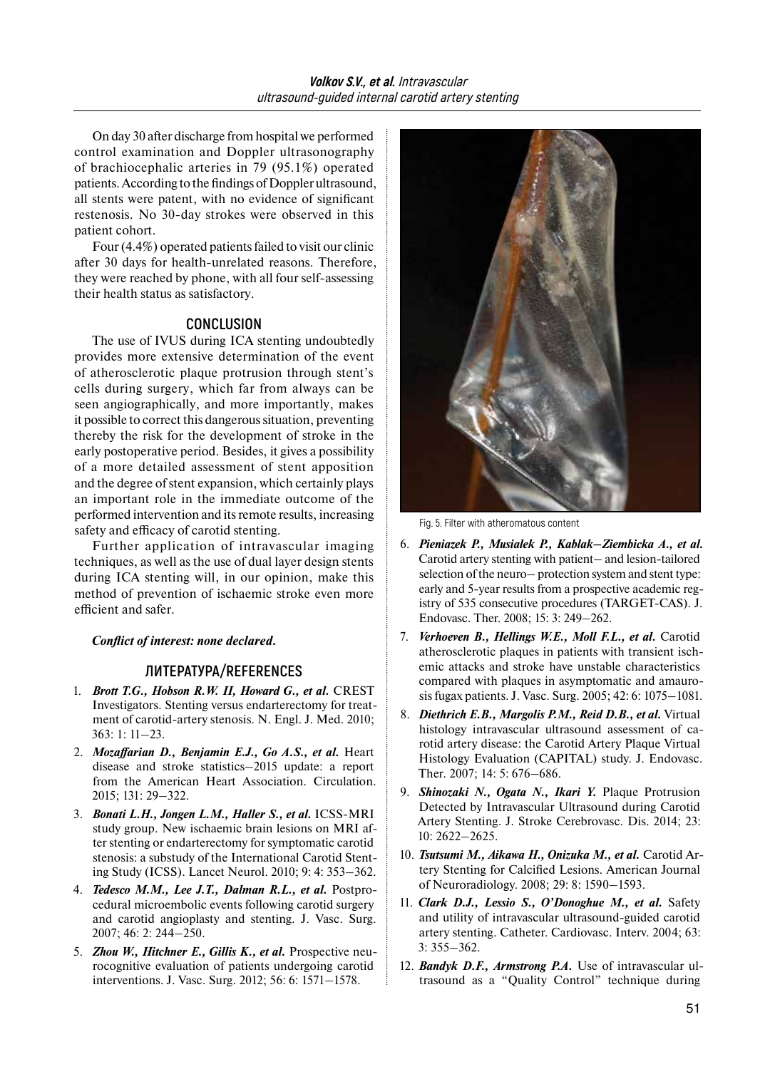On day 30 after discharge from hospital we performed control examination and Doppler ultrasonography of brachiocephalic arteries in 79 (95.1%) operated patients. According to the findings of Doppler ultrasound, all stents were patent, with no evidence of significant restenosis. No 30-day strokes were observed in this patient cohort.

Four (4.4%) operated patients failed to visit our clinic after 30 days for health-unrelated reasons. Therefore, they were reached by phone, with all four self-assessing their health status as satisfactory.

# **CONCLUSION**

The use of IVUS during ICA stenting undoubtedly provides more extensive determination of the event of atherosclerotic plaque protrusion through stent's cells during surgery, which far from always can be seen angiographically, and more importantly, makes it possible to correct this dangerous situation, preventing thereby the risk for the development of stroke in the early postoperative period. Besides, it gives a possibility of a more detailed assessment of stent apposition and the degree of stent expansion, which certainly plays an important role in the immediate outcome of the performed intervention and its remote results, increasing safety and efficacy of carotid stenting.

Further application of intravascular imaging techniques, as well as the use of dual layer design stents during ICA stenting will, in our opinion, make this method of prevention of ischaemic stroke even more efficient and safer.

# *Conflict of interest: none declared.*

# **ЛИТЕРАТУРА/REFERENCES**

- 1. *Brott T.G., Hobson R.W. II, Howard G., et al.* CREST Investigators. Stenting versus endarterectomy for treatment of carotid-artery stenosis. N. Engl. J. Med. 2010; 363: 1: 11–23.
- 2. *Mozaffarian D., Benjamin E.J., Go A.S., et al.* Heart disease and stroke statistics–2015 update: a report from the American Heart Association. Circulation. 2015; 131: 29–322.
- 3. *Bonati L.H., Jongen L.M., Haller S., et al.* ICSS-MRI study group. New ischaemic brain lesions on MRI after stenting or endarterectomy for symptomatic carotid stenosis: a substudy of the International Carotid Stenting Study (ICSS). Lancet Neurol. 2010; 9: 4: 353–362.
- 4. *Tedesco M.M., Lee J.T., Dalman R.L., et al.* Postprocedural microembolic events following carotid surgery and carotid angioplasty and stenting. J. Vasc. Surg. 2007; 46: 2: 244–250.
- 5. **Zhou W., Hitchner E., Gillis K., et al.** Prospective neurocognitive evaluation of patients undergoing carotid interventions. J. Vasc. Surg. 2012; 56: 6: 1571–1578.



Fig. 5. Filter with atheromatous content

- 6. *Pieniazek P., Musialek P., Kablak–Ziembicka A., et al.* Carotid artery stenting with patient– and lesion-tailored selection of the neuro– protection system and stent type: early and 5-year results from a prospective academic registry of 535 consecutive procedures (TARGET-CAS). J. Endovasc. Ther. 2008; 15: 3: 249–262.
- 7. *Verhoeven B., Hellings W.E., Moll F.L., et al.* Carotid atherosclerotic plaques in patients with transient ischemic attacks and stroke have unstable characteristics compared with plaques in asymptomatic and amaurosis fugax patients. J. Vasc. Surg. 2005; 42: 6: 1075–1081.
- 8. *Diethrich E.B., Margolis Р.M., Reid D.B., et al.* Virtual histology intravascular ultrasound assessment of carotid artery disease: the Carotid Artery Plaque Virtual Histology Evaluation (CAPITAL) study. J. Endovasc. Ther. 2007; 14: 5: 676–686.
- 9. *Shinozaki N., Ogata N., Ikari Y.* Plaque Protrusion Detected by Intravascular Ultrasound during Carotid Artery Stenting. J. Stroke Cerebrovasc. Dis. 2014; 23: 10: 2622–2625.
- 10. *Tsutsumi M., Aikawa H., Onizuka M., et al.* Carotid Artery Stenting for Calcified Lesions. American Journal of Neuroradiology. 2008; 29: 8: 1590–1593.
- 11. *Clark D.J., Lessio S., O'Donoghue M., et al.* Safety and utility of intravascular ultrasound-guided carotid artery stenting. Catheter. Cardiovasc. Interv. 2004; 63: 3: 355–362.
- 12. *Bandyk D.F., Armstrong P.A.* Use of intravascular ultrasound as a "Quality Control" technique during